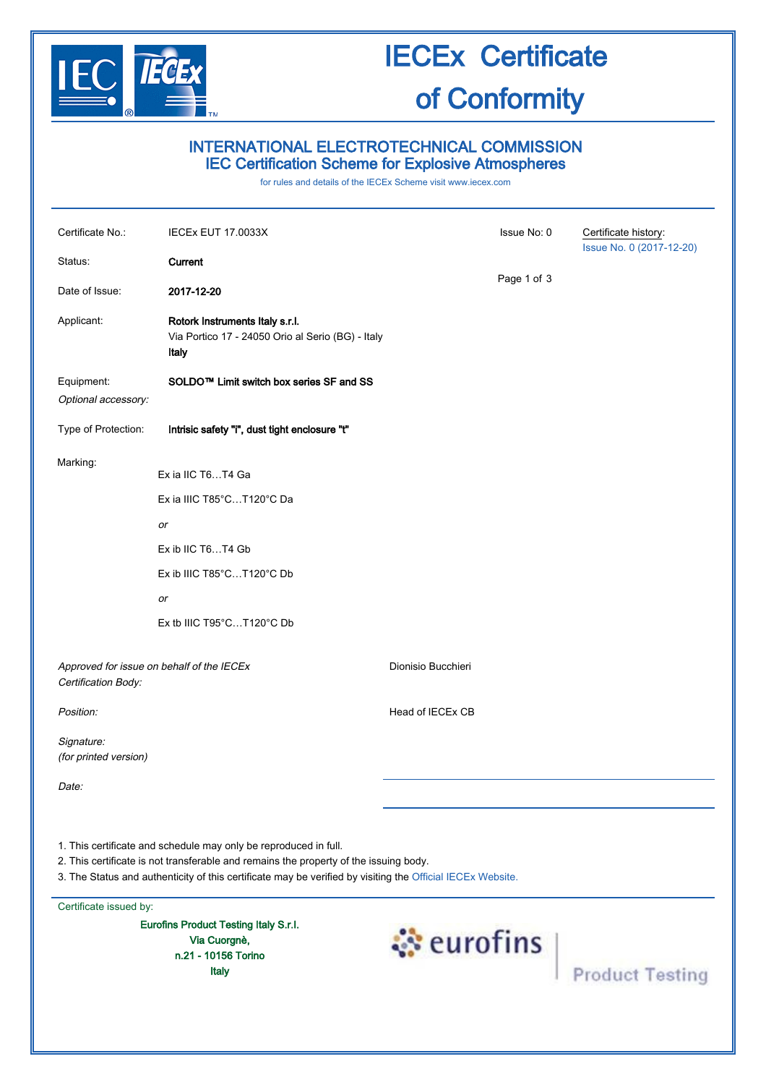

### INTERNATIONAL ELECTROTECHNICAL COMMISSION IEC Certification Scheme for Explosive Atmospheres

for rules and details of the IECEx Scheme visit [www.iecex.com](http://www.iecex.com/)

| Certificate No.:                    | IECEx EUT 17.0033X                                                                                                                                                                                                                                                                                                               | Issue No: 0        | Certificate history:<br>Issue No. 0 (2017-12-20) |
|-------------------------------------|----------------------------------------------------------------------------------------------------------------------------------------------------------------------------------------------------------------------------------------------------------------------------------------------------------------------------------|--------------------|--------------------------------------------------|
| Status:                             | Current                                                                                                                                                                                                                                                                                                                          |                    |                                                  |
| Date of Issue:                      | 2017-12-20                                                                                                                                                                                                                                                                                                                       | Page 1 of 3        |                                                  |
| Applicant:                          | Rotork Instruments Italy s.r.l.<br>Via Portico 17 - 24050 Orio al Serio (BG) - Italy<br>Italy                                                                                                                                                                                                                                    |                    |                                                  |
| Equipment:<br>Optional accessory:   | SOLDO™ Limit switch box series SF and SS                                                                                                                                                                                                                                                                                         |                    |                                                  |
| Type of Protection:                 | Intrisic safety "i", dust tight enclosure "t"                                                                                                                                                                                                                                                                                    |                    |                                                  |
| Marking:                            | Ex ia IIC T6T4 Ga<br>Ex ia IIIC T85°CT120°C Da<br>or<br>Ex ib IIC T6T4 Gb<br>$Ex$ ib IIIC T85 $°CT120°C$ Db<br>or<br>Ex tb IIIC T95°CT120°C Db                                                                                                                                                                                   |                    |                                                  |
| Certification Body:                 | Approved for issue on behalf of the IECEx                                                                                                                                                                                                                                                                                        | Dionisio Bucchieri |                                                  |
| Position:                           |                                                                                                                                                                                                                                                                                                                                  | Head of IECEx CB   |                                                  |
| Signature:<br>(for printed version) |                                                                                                                                                                                                                                                                                                                                  |                    |                                                  |
| Date:                               |                                                                                                                                                                                                                                                                                                                                  |                    |                                                  |
| Certificate issued by:              | 1. This certificate and schedule may only be reproduced in full.<br>2. This certificate is not transferable and remains the property of the issuing body.<br>3. The Status and authenticity of this certificate may be verified by visiting the Official IECEx Website.<br>Eurofins Product Testing Italy S.r.I.<br>Via Cuorgnè, |                    |                                                  |
|                                     | n.21 - 10156 Torino<br><b>Italy</b>                                                                                                                                                                                                                                                                                              | <b>Eurofins</b>    | <b>Product Testing</b>                           |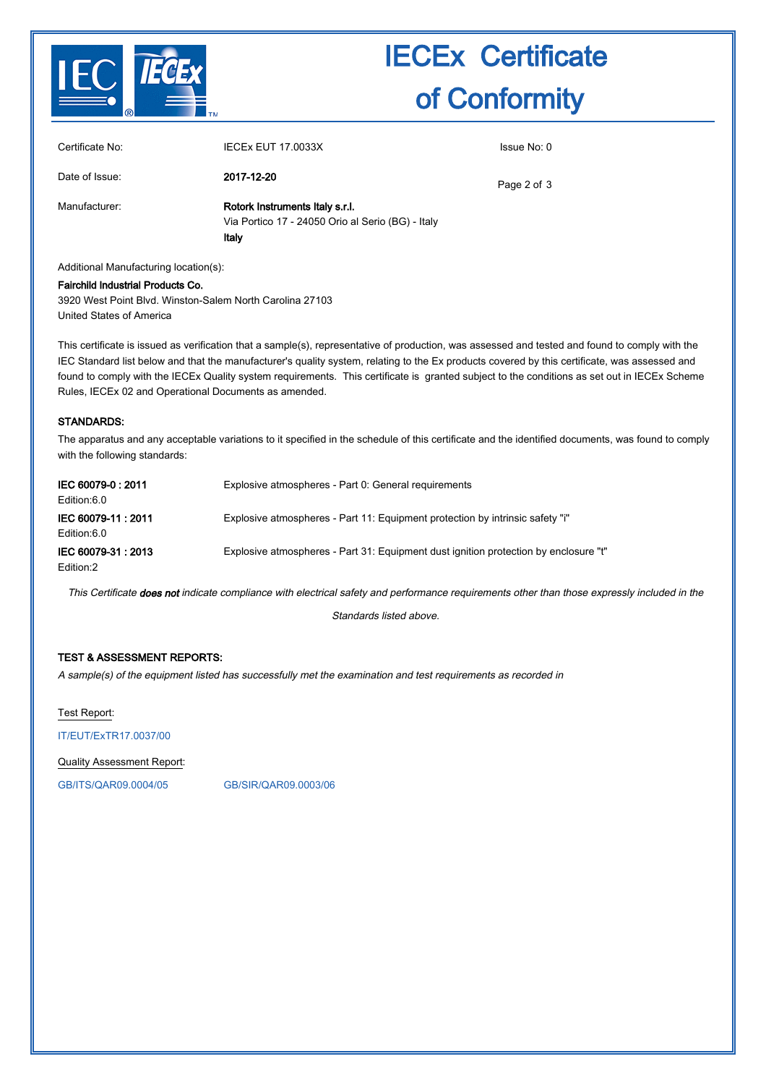

| Certificate No: | <b>IECEX EUT 17.0033X</b>                                                                     | Issue No: 0 |
|-----------------|-----------------------------------------------------------------------------------------------|-------------|
| Date of Issue:  | 2017-12-20                                                                                    | Page 2 of 3 |
| Manufacturer:   | Rotork Instruments Italy s.r.l.<br>Via Portico 17 - 24050 Orio al Serio (BG) - Italy<br>Italy |             |

Additional Manufacturing location(s):

Fairchild lndustrial Products Co. 3920 West Point Blvd. Winston-Salem North Carolina 27103 United States of America

This certificate is issued as verification that a sample(s), representative of production, was assessed and tested and found to comply with the IEC Standard list below and that the manufacturer's quality system, relating to the Ex products covered by this certificate, was assessed and found to comply with the IECEx Quality system requirements. This certificate is granted subject to the conditions as set out in IECEx Scheme Rules, IECEx 02 and Operational Documents as amended.

#### STANDARDS:

The apparatus and any acceptable variations to it specified in the schedule of this certificate and the identified documents, was found to comply with the following standards:

| IEC 60079-0: 2011<br>Edition:6.0  | Explosive atmospheres - Part 0: General requirements                                 |
|-----------------------------------|--------------------------------------------------------------------------------------|
| IEC 60079-11: 2011<br>Edition:6.0 | Explosive atmospheres - Part 11: Equipment protection by intrinsic safety "i"        |
| IEC 60079-31: 2013<br>Edition:2   | Explosive atmospheres - Part 31: Equipment dust ignition protection by enclosure "t" |

This Certificate does not indicate compliance with electrical safety and performance requirements other than those expressly included in the

Standards listed above.

#### TEST & ASSESSMENT REPORTS:

A sample(s) of the equipment listed has successfully met the examination and test requirements as recorded in

Test Report:

[IT/EUT/ExTR17.0037/00](http://iecex.iec.ch/extr/IT.EUT.ExTR17.0037.00)

Quality Assessment Report:

[GB/ITS/QAR09.0004/05](http://iecex.iec.ch/qar/GB.ITS.QAR09.0004.05) [GB/SIR/QAR09.0003/06](http://iecex.iec.ch/qar/GB.SIR.QAR09.0003.06)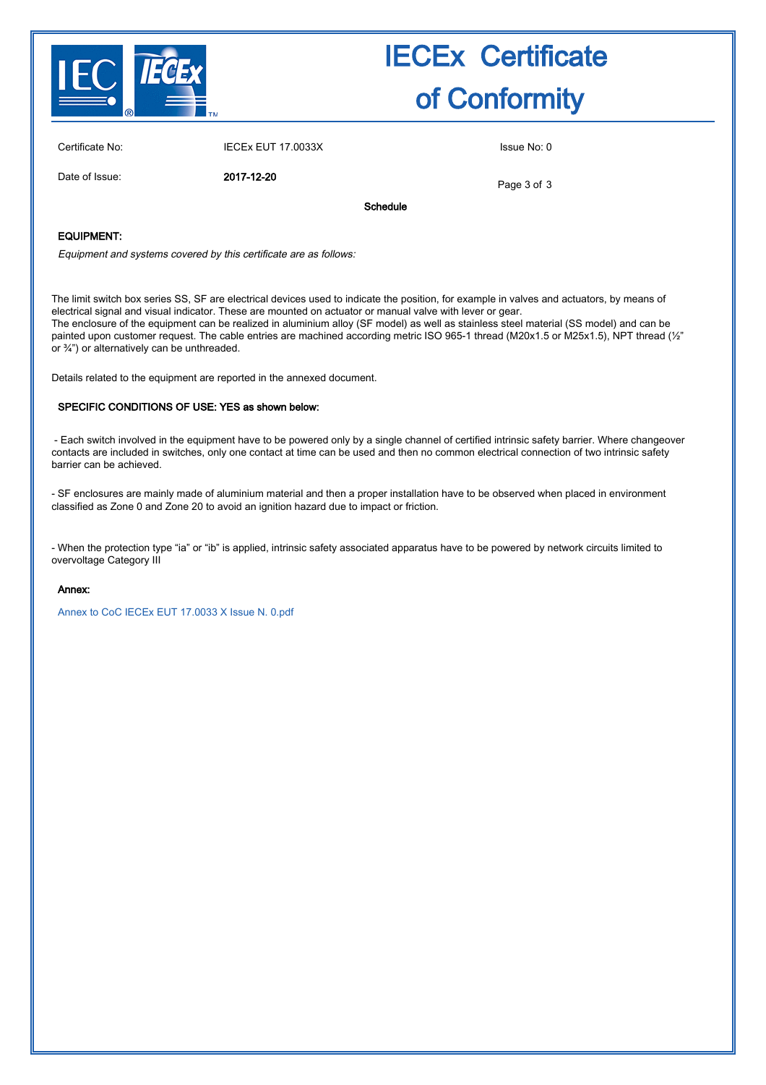

| Certificate No: | <b>IECEx EUT 17.0033X</b> | Issue No: 0 |
|-----------------|---------------------------|-------------|
|                 |                           |             |

Date of Issue: 2017-12-20

Page 3 of 3

Schedule

#### EQUIPMENT:

Equipment and systems covered by this certificate are as follows:

The limit switch box series SS, SF are electrical devices used to indicate the position, for example in valves and actuators, by means of electrical signal and visual indicator. These are mounted on actuator or manual valve with lever or gear. The enclosure of the equipment can be realized in aluminium alloy (SF model) as well as stainless steel material (SS model) and can be painted upon customer request. The cable entries are machined according metric ISO 965-1 thread (M20x1.5 or M25x1.5), NPT thread (1/2" or ¾") or alternatively can be unthreaded.

Details related to the equipment are reported in the annexed document.

#### SPECIFIC CONDITIONS OF USE: YES as shown below:

 - Each switch involved in the equipment have to be powered only by a single channel of certified intrinsic safety barrier. Where changeover contacts are included in switches, only one contact at time can be used and then no common electrical connection of two intrinsic safety barrier can be achieved.

- SF enclosures are mainly made of aluminium material and then a proper installation have to be observed when placed in environment classified as Zone 0 and Zone 20 to avoid an ignition hazard due to impact or friction.

- When the protection type "ia" or "ib" is applied, intrinsic safety associated apparatus have to be powered by network circuits limited to overvoltage Category III

#### Annex:

[Annex to CoC IECEx EUT 17.0033 X Issue N. 0.pdf](http://iecex.iec.ch/cert/IECExEUT17.0033X0/$File/Annex to CoC IECEx EUT 17.0033 X Issue N. 0.pdf)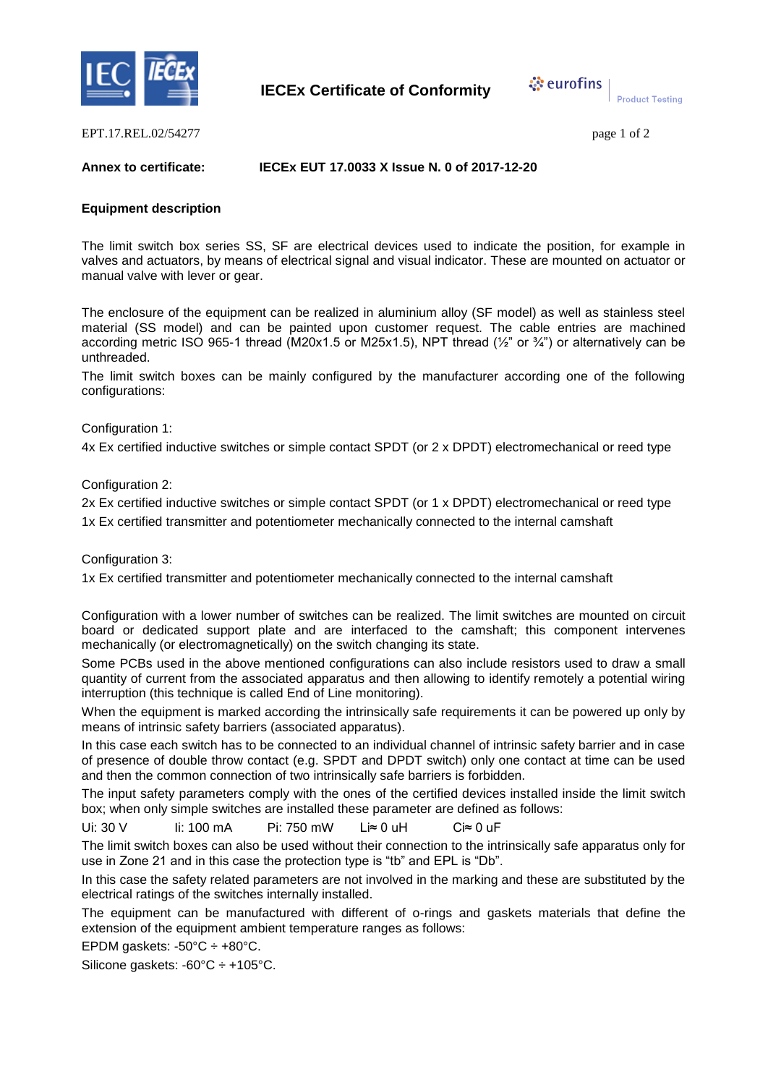



**Product Testing** 

EPT.17.REL.02/54277 page 1 of 2

#### **Annex to certificate: IECEx EUT 17.0033 X Issue N. 0 of 2017-12-20**

#### **Equipment description**

The limit switch box series SS, SF are electrical devices used to indicate the position, for example in valves and actuators, by means of electrical signal and visual indicator. These are mounted on actuator or manual valve with lever or gear.

The enclosure of the equipment can be realized in aluminium alloy (SF model) as well as stainless steel material (SS model) and can be painted upon customer request. The cable entries are machined according metric ISO 965-1 thread (M20x1.5 or M25x1.5), NPT thread ( $\frac{1}{2}$ " or  $\frac{3}{4}$ ") or alternatively can be unthreaded.

The limit switch boxes can be mainly configured by the manufacturer according one of the following configurations:

Configuration 1:

4x Ex certified inductive switches or simple contact SPDT (or 2 x DPDT) electromechanical or reed type

Configuration 2:

2x Ex certified inductive switches or simple contact SPDT (or 1 x DPDT) electromechanical or reed type 1x Ex certified transmitter and potentiometer mechanically connected to the internal camshaft

Configuration 3:

1x Ex certified transmitter and potentiometer mechanically connected to the internal camshaft

Configuration with a lower number of switches can be realized. The limit switches are mounted on circuit board or dedicated support plate and are interfaced to the camshaft; this component intervenes mechanically (or electromagnetically) on the switch changing its state.

Some PCBs used in the above mentioned configurations can also include resistors used to draw a small quantity of current from the associated apparatus and then allowing to identify remotely a potential wiring interruption (this technique is called End of Line monitoring).

When the equipment is marked according the intrinsically safe requirements it can be powered up only by means of intrinsic safety barriers (associated apparatus).

In this case each switch has to be connected to an individual channel of intrinsic safety barrier and in case of presence of double throw contact (e.g. SPDT and DPDT switch) only one contact at time can be used and then the common connection of two intrinsically safe barriers is forbidden.

The input safety parameters comply with the ones of the certified devices installed inside the limit switch box; when only simple switches are installed these parameter are defined as follows:

Ui: 30 V Ii: 100 mA Pi: 750 mW Li≈ 0 uH Ci≈ 0 uF

The limit switch boxes can also be used without their connection to the intrinsically safe apparatus only for use in Zone 21 and in this case the protection type is "tb" and EPL is "Db".

In this case the safety related parameters are not involved in the marking and these are substituted by the electrical ratings of the switches internally installed.

The equipment can be manufactured with different of o-rings and gaskets materials that define the extension of the equipment ambient temperature ranges as follows:

EPDM gaskets:  $-50^{\circ}$ C  $\div$   $+80^{\circ}$ C.

Silicone gaskets: -60°C ÷ +105°C.